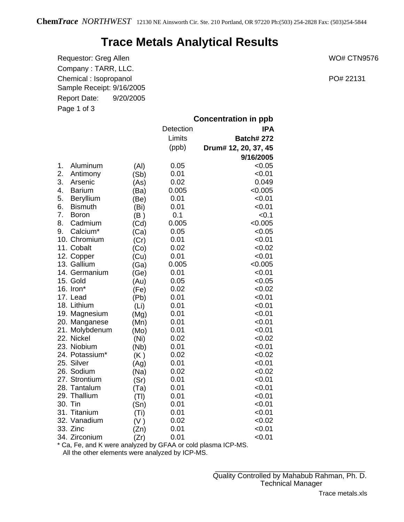## **Trace Metals Analytical Results**

Requestor: Greg Allen WO# CTN9576 Company : TARR, LLC. Chemical : Isopropanol **PO**# 22131 Sample Receipt: 9/16/2005 Report Date: 9/20/2005 Page 1 of 3

|    |                |      | <b>Concentration in ppb</b> |                      |  |
|----|----------------|------|-----------------------------|----------------------|--|
|    |                |      | Detection                   | <b>IPA</b>           |  |
|    |                |      | Limits                      | <b>Batch#272</b>     |  |
|    |                |      | (ppb)                       | Drum# 12, 20, 37, 45 |  |
|    |                |      |                             | 9/16/2005            |  |
| 1. | Aluminum       | (AI) | 0.05                        | < 0.05               |  |
| 2. | Antimony       | (Sb) | 0.01                        | < 0.01               |  |
| 3. | Arsenic        | (As) | 0.02                        | 0.049                |  |
| 4. | <b>Barium</b>  | (Ba) | 0.005                       | < 0.005              |  |
| 5. | Beryllium      | (Be) | 0.01                        | < 0.01               |  |
| 6. | <b>Bismuth</b> | (Bi) | 0.01                        | < 0.01               |  |
| 7. | <b>Boron</b>   | (B)  | 0.1                         | < 0.1                |  |
| 8. | Cadmium        | (Cd) | 0.005                       | < 0.005              |  |
| 9. | Calcium*       | (Ca) | 0.05                        | < 0.05               |  |
|    | 10. Chromium   | (Cr) | 0.01                        | < 0.01               |  |
|    | 11. Cobalt     | (Co) | 0.02                        | <0.02                |  |
|    | 12. Copper     | (Cu) | 0.01                        | < 0.01               |  |
|    | 13. Gallium    | (Ga) | 0.005                       | < 0.005              |  |
|    | 14. Germanium  | (Ge) | 0.01                        | < 0.01               |  |
|    | 15. Gold       | (Au) | 0.05                        | < 0.05               |  |
|    | 16. Iron*      | (Fe) | 0.02                        | < 0.02               |  |
|    | 17. Lead       | (Pb) | 0.01                        | < 0.01               |  |
|    | 18. Lithium    | (Li) | 0.01                        | < 0.01               |  |
|    | 19. Magnesium  | (Mg) | 0.01                        | < 0.01               |  |
|    | 20. Manganese  | (Mn) | 0.01                        | < 0.01               |  |
|    | 21. Molybdenum | (Mo) | 0.01                        | < 0.01               |  |
|    | 22. Nickel     | (Ni) | 0.02                        | < 0.02               |  |
|    | 23. Niobium    | (Nb) | 0.01                        | < 0.01               |  |
|    | 24. Potassium* | (K)  | 0.02                        | < 0.02               |  |
|    | 25. Silver     | (Ag) | 0.01                        | < 0.01               |  |
|    | 26. Sodium     | (Na) | 0.02                        | < 0.02               |  |
|    | 27. Strontium  | (Sr) | 0.01                        | < 0.01               |  |
|    | 28. Tantalum   | (Ta) | 0.01                        | < 0.01               |  |
|    | 29. Thallium   | (TI) | 0.01                        | < 0.01               |  |
|    | 30. Tin        | (Sn) | 0.01                        | < 0.01               |  |
|    | 31. Titanium   | (Ti) | 0.01                        | < 0.01               |  |
|    | 32. Vanadium   | (V)  | 0.02                        | <0.02                |  |
|    | 33. Zinc       | (Zn) | 0.01                        | < 0.01               |  |
|    | 34. Zirconium  | (Zr) | 0.01                        | < 0.01               |  |

\* Ca, Fe, and K were analyzed by GFAA or cold plasma ICP-MS.

All the other elements were analyzed by ICP-MS.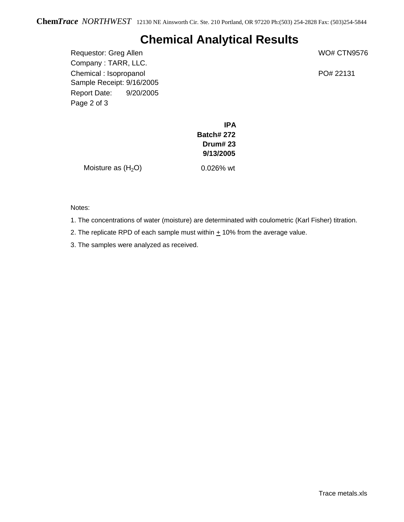## **Chemical Analytical Results**

Requestor: Greg Allen WO# CTN9576 Company : TARR, LLC. Chemical : Isopropanol **PO**# 22131 Sample Receipt: 9/16/2005 Report Date: 9/20/2005 Page 2 of 3

**IPA Batch# 272 Drum# 23 9/13/2005**

Moisture as  $(H<sub>2</sub>O)$  0.026% wt

Notes:

1. The concentrations of water (moisture) are determinated with coulometric (Karl Fisher) titration.

2. The replicate RPD of each sample must within  $\pm$  10% from the average value.

3. The samples were analyzed as received.